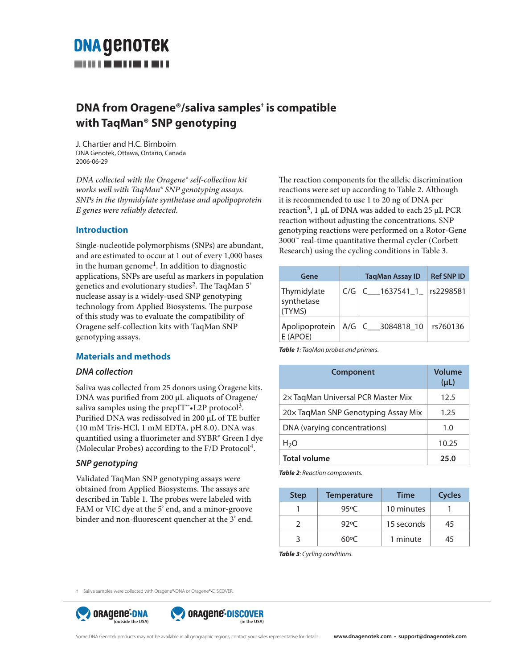# **DNA GENOTEK**

## **DNA from Oragene®/saliva samples† is compatible with TaqMan® SNP genotyping**

J. Chartier and H.C. Birnboim DNA Genotek, Ottawa, Ontario, Canada 2006-06-29

*DNA collected with the Oragene® self-collection kit works well with TaqMan® SNP genotyping assays. SNPs in the thymidylate synthetase and apolipoprotein E genes were reliably detected.* 

### **Introduction**

Single-nucleotide polymorphisms (SNPs) are abundant, and are estimated to occur at 1 out of every 1,000 bases in the human genome<sup>1</sup>. In addition to diagnostic applications, SNPs are useful as markers in population genetics and evolutionary studies<sup>2</sup>. The TaqMan 5' nuclease assay is a widely-used SNP genotyping technology from Applied Biosystems. The purpose of this study was to evaluate the compatibility of Oragene self-collection kits with TaqMan SNP genotyping assays.

### **Materials and methods**

### *DNA collection*

Saliva was collected from 25 donors using Oragene kits. DNA was purified from 200 μL aliquots of Oragene/ saliva samples using the prepIT<sup>™</sup>•L2P protocol<sup>3</sup>. Purified DNA was redissolved in 200 μL of TE buffer (10 mM Tris-HCl, 1 mM EDTA, pH 8.0). DNA was quantified using a fluorimeter and SYBR® Green I dye (Molecular Probes) according to the F/D Protocol4.

### *SNP genotyping*

Validated TaqMan SNP genotyping assays were obtained from Applied Biosystems. The assays are described in Table 1. The probes were labeled with FAM or VIC dye at the 5' end, and a minor-groove binder and non-fluorescent quencher at the 3' end. The reaction components for the allelic discrimination reactions were set up according to Table 2. Although it is recommended to use 1 to 20 ng of DNA per reaction5, 1 μL of DNA was added to each 25 μL PCR reaction without adjusting the concentrations. SNP genotyping reactions were performed on a Rotor-Gene 3000™ real-time quantitative thermal cycler (Corbett Research) using the cycling conditions in Table 3.

| Gene                                |     | <b>TagMan Assay ID</b> | <b>Ref SNP ID</b> |
|-------------------------------------|-----|------------------------|-------------------|
| Thymidylate<br>synthetase<br>(TYMS) | C/G | $C_$ 1637541_1         | rs2298581         |
| Apolipoprotein<br>E (APOE)          |     | A/G   C 3084818 10     | rs760136          |

*Table 1: TaqMan probes and primers.*

| <b>Component</b>                     | Volume<br>$(\mu L)$ |
|--------------------------------------|---------------------|
| 2×TagMan Universal PCR Master Mix    | 12.5                |
| 20 x TaqMan SNP Genotyping Assay Mix | 1.25                |
| DNA (varying concentrations)         | 1.0                 |
| H <sub>2</sub> O                     | 10.25               |
| <b>Total volume</b>                  | 25.0                |

*Table 2: Reaction components.*

| <b>Step</b> | <b>Temperature</b> | <b>Time</b> | <b>Cycles</b> |
|-------------|--------------------|-------------|---------------|
|             | 95°C               | 10 minutes  |               |
|             | 92°C               | 15 seconds  | 45            |
|             | ר ∩סת              | 1 minute    | 45            |

*Table 3: Cycling conditions.*

† Saliva samples were collected with Oragene®•DNA or Oragene®•DISCOVER.